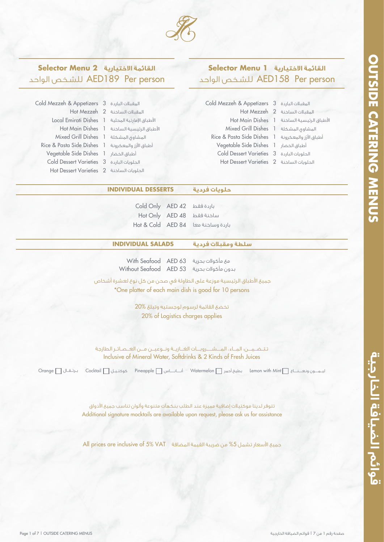

## **القائمة الاختيارية 2 Menu Selector** الواحد للشـخص AED189 Per person

 Cold Mezzeh & Appetizers المقبلات الباردة Hot Mezzeh المقبلات الساخنة Local Emirati Dishes اطباق امارتية المحلية Mixed Grill Dishes المشاوي المشكلة Rice & Pasta Side Dishes ُ أطباق ارز والمعكرونة Vegetable Side Dishes أطباق الخضار Cold Dessert Varieties الحلويات الباردة Hot Dessert Varieties الحلويات الساخنة

1 Hot Main Dishes اطباق الرئيسية الساخنة

# **القائمة الاختيارية 1 Menu Selector** الواحد للشـخص AED158 Per person

| Cold Mezzeh & Appetizers 3 المقبلات الباردة 2              |  |                                            |
|------------------------------------------------------------|--|--------------------------------------------|
|                                                            |  | Hot Mezzeh 2 المقبلات الساخنة 1            |
|                                                            |  | الأطباق الرئيسية الساخنة Hot Main Dishes 1 |
| Mixed Grill Dishes 1 المشاوى المشكلة 1                     |  |                                            |
| Rice & Pasta Side Dishes 1 أطباق الأرز والمعكرونة 1        |  |                                            |
| Vegetable Side Dishes 1 أطباق الخضار Vegetable Side Dishes |  |                                            |
| Cold Dessert Varieties 3 الحلويات الباردة 2                |  |                                            |
| الحلويات الساخنة Hot Dessert Varieties 2                   |  |                                            |
|                                                            |  |                                            |

### **حلويات فردية DESSERTS INDIVIDUAL**

Cold Only AED 42 Hot Only AED 48 Hot & Cold AED 84 باردة فقط ساخنة فقط باردة وساخنة معا

### **سلطة ومقبلات فردية SALADS INDIVIDUAL**

مع مأكولات بحرية 63 AED Seafood With

بدون مأكولات بحرية 53 AED Seafood Without

\*One platter of each main dish is good for 10 persons جميع اطباق الرئيسية موزعة على الطاولة في صحن من كل نوع لعشرة أشخاص

> 20% of Logistics charges applies تخضع القائمة لرسوم لوجستيه وتبلغ 20%

Inclusive of Mineral Water, Softdrinks & 2 Kinds of Fresh Juices تـتــضـــمــــن: المــــاء، المـــــشـــــــروبـــــات الغــــازيـــة ونـــوعيـــن مــــن العـــصــائــر الطازجة

ليـــمــــــون ونـعــــــنــــــاع Mint with Lemon بطيخ أحمر Watermelon أنـــــــانــــــــاس Pineapple كوكتــيــل Cocktail بــرتـــقـــال Orange

Additional signature mocktails are available upon request, please ask us for assistance تتوفر لدينا موكتيلات إضافية مميزة عند الطلب بنكهات متنوعة وألوان تناسب جميع الأذواق

جميع الأسعار تشمل 5% من ضريبة القيمة المضافة VAT 6% VAT وAll prices are inclusive of 5% VAT

قوائم الضيافة الخارجية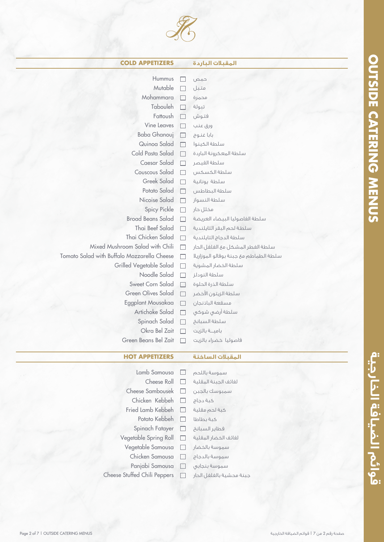

| <b>COLD APPETIZERS</b>                      |                          | المقبلات الباردة                       |  |
|---------------------------------------------|--------------------------|----------------------------------------|--|
| Hummus                                      |                          |                                        |  |
| Mutable                                     |                          | حمص<br>متبل                            |  |
| Mohammara                                   |                          | محمرة                                  |  |
| Tabouleh                                    |                          | تبولة                                  |  |
| Fattoush                                    |                          | فتوش                                   |  |
| Vine Leaves                                 |                          | ورق عنب                                |  |
| <b>Baba Ghanouj</b>                         | $\overline{\phantom{a}}$ | بابا غنوج                              |  |
| Quinoa Salad                                | $\Box$                   | سلطة الكينوا                           |  |
| Cold Pasta Salad                            |                          | سلطة المعكرونة الباردة                 |  |
| Caesar Salad                                |                          | سلطة القيصر                            |  |
| Couscous Salad                              |                          | سلطة الكسكس                            |  |
| Greek Salad                                 |                          | سلطة يونانية                           |  |
| Potato Salad                                | П                        | سلطة البطاطس                           |  |
| Nicoise Salad                               | П                        | سلطة النسواز                           |  |
| <b>Spicy Pickle</b>                         | П                        | مخلل حار                               |  |
| <b>Broad Beans Salad</b>                    |                          | سلطة الفاصوليا البيضاء العريضة         |  |
| Thai Beef Salad                             |                          | سلطة لحم البقر التايلندية              |  |
| Thai Chicken Salad                          | П                        | سلطة الدجاج التايلندية                 |  |
| Mixed Mushroom Salad with Chili             | H                        | سلطة الفطر المشكل مع الفلفل الحار      |  |
| Tomato Salad with Buffalo Mozzarella Cheese | □                        | سلطة الطماطم مئ جبنة بوفالو الموزاريلا |  |
| Grilled Vegetable Salad                     | $\mathsf{L}$             | سلطة الخضار المشوية                    |  |
| Noodle Salad                                |                          | سلطة النودلز                           |  |
| Sweet Corn Salad                            | <b>Contract</b>          | سلطة الذرة الحلوة                      |  |
| <b>Green Olives Salad</b>                   |                          | سلطة الزيتون الأخضر                    |  |
| Eggplant Mousakaa                           | H                        | مسقعة الباذنجان                        |  |
| Artichoke Salad                             | П                        | سلطة أرضى شوكى                         |  |
| Spinach Salad                               |                          | سلطة السبانخ                           |  |
| Okra Bel Zait                               |                          | بامية بالزيت                           |  |
| Green Beans Bel Zait                        |                          | فاصوليا خضراء بالزيت                   |  |
| <b>HOT APPETIZERS</b>                       |                          | المقبلات الساخنة                       |  |
|                                             |                          |                                        |  |
| Lamb Samousa                                | $\mathbf{I}$             | سموسة باللحم                           |  |
| Cheese Roll                                 |                          | لفائف الجبنة المقلية                   |  |
| Cheese Sambousek                            |                          | سمبوسك بالجبن                          |  |

Chicken Kebbeh Fried Lamb Kebbeh Potato Kebbeh Spinach Fatayer Vegetable Spring Roll Vegetable Samousa Chicken Samousa Panjabi Samousa

كبة دجاج كبة لحم مقلية كبة بطاطا فطاير السبانخ لفائف الخضار المقلية سموسة بالخضار سموسة بالدجاج سموسة بنجابي

 $\Box$  $\Box$  $\Box$  $\Box$  $\Box$  $\Box$  $\Box$  $\Box$  $\Box$ 

جبنة محشية بالفلفل الحار

Cheese Stuffed Chili Peppers

قوائم الضيافة الخارجية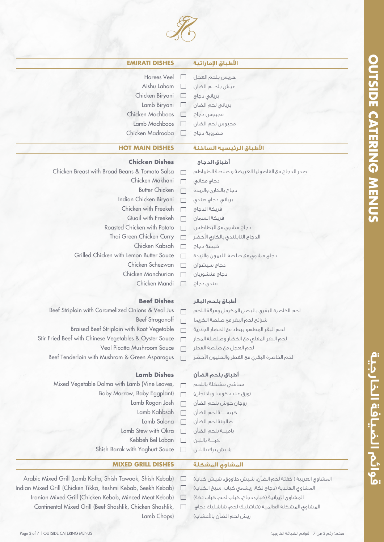قوائم الضيافة الخارجية



| <b>EMIRATI DISHES</b>                                  |   | الأطباق الإماراتية                             |
|--------------------------------------------------------|---|------------------------------------------------|
| <b>Harees Veel</b>                                     |   | هريس بلحم العجل                                |
| Aishu Laham                                            | ப | عيش بلحــم الضان                               |
| Chicken Biryani                                        |   | $\square$ برياني دجاج                          |
| Lamb Biryani                                           |   | بريانى لحم الضان $\square$                     |
| Chicken Machboos                                       |   | مجبوس دجاج                                     |
| Lamb Machboos                                          |   | مجبوس لحم الضان                                |
| Chicken Madrooba                                       |   | مضروبة دجاج                                    |
| <b>HOT MAIN DISHES</b>                                 |   | الأطباق الرئيسية الساخنة                       |
| <b>Chicken Dishes</b>                                  |   | أطباق الدجاج                                   |
| Chicken Breast with Broad Beans & Tomato Salsa         |   | صدر الدجاج مع الفاصوليا العريضة و صلصة الطماطم |
| Chicken Makhani                                        |   | دجاج مخاني                                     |
| <b>Butter Chicken</b>                                  |   | دجاج بالكارى والزبدة                           |
| Indian Chicken Biryani                                 |   | برياني دجاج هندي                               |
| Chicken with Freekeh                                   |   | فريكة الدجاج                                   |
| Quail with Freekeh                                     |   | فريكة السمان                                   |
| Roasted Chicken with Potato                            |   | دجاج مشوي مع البطاطس                           |
| Thai Green Chicken Curry                               |   | الدجاج التايلندى بالكارى الأخضر                |
| Chicken Kabsah                                         |   | كبسة دجاج                                      |
| Grilled Chicken with Lemon Butter Sauce                |   | دجاج مشوى مع صلصة الليمون والزبدة              |
| Chicken Schezwan                                       |   | دجاج سيشوان                                    |
| Chicken Manchurian                                     |   | دجاج منشوريان                                  |
| Chicken Mandi                                          |   | مندی دجاج                                      |
| <b>Beef Dishes</b>                                     |   | أطباق بلحم البقر                               |
| Beef Striploin with Caramelized Onions & Veal Jus      |   | لحم الخاصرة البقرق بالبصل المكرمل ومرقة اللحم  |
| <b>Beef Stroganoff</b>                                 |   | شرائح لحم البقر مع صلصة الكريما                |
| Braised Beef Striploin with Root Vegetable             |   | لحم البقر المطهو ببطء مئ الخضار الجذرية        |
| Stir Fried Beef with Chinese Vegetables & Oyster Sauce |   | لحم البقر المقلى مع الخضار وصلصلة المحار       |
| Veal Picatta Mushroom Sauce                            |   | لحم العجل مع صلصة الفطر                        |
| Beef Tenderloin with Mushrom & Green Asparagus         |   | لحم الخاصرة البقرى مئ الفطر والهليون الأخضر    |
| <b>Lamb Dishes</b>                                     |   | أطباق بلحم الضأن                               |
| Mixed Vegetable Dolma with Lamb (Vine Leaves,          |   | محاشى مشكلة باللحم                             |
| Baby Marrow, Baby Eggplant)                            |   | (ورق عنب، كوسا وباذنجان)                       |
| Lamb Rogan Josh                                        |   | روجان جوش بلحم الضأن                           |
| Lamb Kabbsah                                           |   | كبســــة لحم الضأن                             |
| Lamb Salona                                            |   | صالونة لحم الضأن                               |
| Lamb Stew with Okra                                    |   | باميــة بلحم الضأن                             |
| Kebbeh Bel Laban                                       |   | كبة باللبن                                     |
| Shish Barak with Yoghurt Sauce                         |   | شيش برك باللبن                                 |
| <b>MIXED GRILL DISHES</b>                              |   | المشاوق المشكلة                                |

- Arabic Mixed Grill (Lamb Kofta, Shish Tawook, Shish Kebab)
- Indian Mixed Grill (Chicken Tikka, Reshmi Kebab, Seekh Kebab)  $\Box$ 
	- Iranian Mixed Grill (Chicken Kebab, Minced Meat Kebab)  $\Box$ Continental Mixed Grill (Beef Shashlik, Chicken Shashlik,  $\Box$ Lamb Chops)

المشاوي العربية ( كفتة لحم الضان، شيش طاووق، شيش كباب)

- المشاوي الهندية (دجاج تكة، ريشمي كباب، سيخ الكباب)
- المشاوي ايرانية (كباب دجاج، كباب لحم، كباب تكة)
- المشاوي المشكلة العالمية (شاشليك لحم، شاشليك دجاج، ريش لحم الضأن بالأعشاب)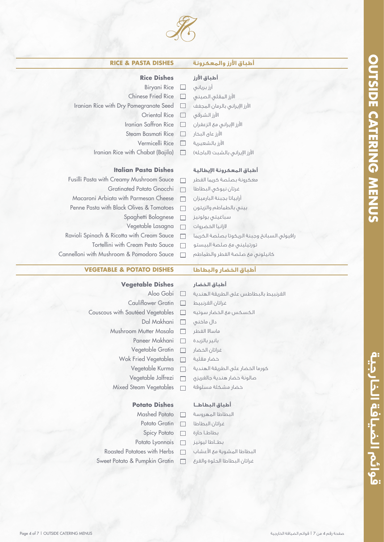

**أطباق ارز والمعكرونة DISHES PASTA & RICE**

### **Rice Dishes أطباق ارز** Biryani Rice  $\Box$ أرز برياني Chinese Fried Rice ارز المقلي الصيني  $\Box$ Iranian Rice with Dry Pomegranate Seed ارز ايراني بالرمان المجفف  $\Box$ Oriental Rice  $\Box$ ارز الشرقي Iranian Saffron Rice  $\Box$ ارز ايراني مع الزعفران Steam Basmati Rice ارز عاى البخار  $\Box$ Vermicelli Rice ارز بالشعيرية  $\Box$ Iranian Rice with Chabat (Bajila)  $\Box$ ارز ايراني بالشبت (الباجله) **Italian Pasta Dishes أطباق المعكرونة ايطالية** Fusilli Pasta with Creamy Mushroom Sauce معكرونة بصلصة كريما الفطر  $\Box$ Gratinated Potato Gnocchi غرتان نيوكي البطاطا  $\Box$ Macaroni Arbiata with Parmesan Cheese أرابياتا بجبنة البارميزان  $\Box$ Penne Pasta with Black Olives & Tomatoes  $\Box$ بيني بالطماطم والزيتون Spaghetti Bolognese سباغيتي بولونيز  $\Box$ Vegetable Lasagna لازانيا الخضروات  $\Box$

- Ravioli Spinach & Ricotta with Cream Sauce  $\Box$
- Tortellini with Cream Pesto Sauce  $\Box$
- Cannelloni with Mushroom & Pomodoro Sauce

### **أطباق الخضار والبطاطا DISHES POTATO & VEGETABLE**

### **Vegetable Dishes**

- Aloo Gobi  $\Box$
- Cauliflower Gratin  $\Box$
- Couscous with Sautéed Vegetables  $\Box$ 
	- Dal Makhani  $\Box$
	- Mushroom Mutter Masala  $\Box$ 
		- Paneer Makhani  $\Box$
		- Vegetable Gratin  $\Box$
		- Wok Fried Vegetables  $\Box$ 
			- Vegetable Kurma  $\Box$
			- Vegetable Jalfrezi  $\Box$
		- Mixed Steam Vegetables  $\Box$

### **Potato Dishes**

- Mashed Potato  $\Box$
- Potato Gratin  $\Box$ 
	- Spicy Potato  $\Box$
- Potato Lyonnais  $\Box$
- Roasted Potatoes with Herbs
- Sweet Potato & Pumpkin Gratin  $\Box$
- القرنبيط بالبطاطس على الطريقة الهندية غراتان القرنبيط الكسكس مع الخضار سوتيه دال ماخني ماسالا الفطر بانير بالزبدة غراتان الخضار خضار مقلية
- كورما الخضار على الطريقة الهندية
- 
- خضار مشكلة مسلوقة

### **أطباق البطاطــا**

البطاطا المهروسة غراتان البطاطا بطاطــا حارة بطـــاطا ليونيز البطاطا المشوية مع اعشاب غراتان البطاطا الحلوة والقرع

- 
- 
- صالونة خضار هندية جالفريزي

قوائم الضيافة الخارجية

**أطباق الخضار**

تورتيليني مع صلصة البيستو كانيلوني مع صلصة الفطر والطماطم

رافيولي السبانخ وجبنة الريكوتا بصلصة الكريما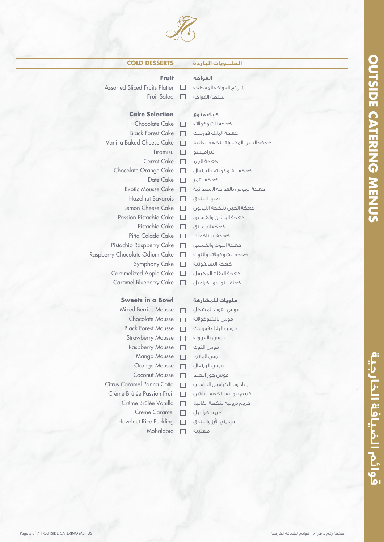### **الحلـــويات الباردة DESSERTS COLD**

### **Fruit**

Assorted Sliced Fruits Platter  $\Box$ Fruit Salad  $\Box$ 

### **Cake Selection**

Chocolate Cake  $\Box$ Black Forest Cake  $\Box$ Vanilla Baked Cheese Cake  $\Box$ Tiramisu  $\Box$ Carrot Cake  $\Box$ Chocolate Orange Cake  $\Box$ Date Cake  $\Box$ Exotic Mousse Cake  $\Box$ Hazelnut Bavarois  $\Box$ Lemon Cheese Cake  $\Box$ Passion Pistachio Cake  $\Box$ Pistachio Cake  $\Box$ Piña Colada Cake  $\Box$ Pistachio Raspberry Cake  $\Box$ Raspberry Chocolate Odium Cake  $\Box$ Symphony Cake  $\Box$ Caramelized Apple Cake  $\Box$ Caramel Blueberry Cake  $\Box$ 

### **Sweets in a Bowl**

Mixed Berries Mousse  $\Box$ Chocolate Mousse  $\Box$ Black Forest Mousse  $\Box$ Strawberry Mousse  $\Box$ Raspberry Mousse  $\Box$ Mango Mousse  $\Box$ Orange Mousse  $\Box$ Coconut Mousse  $\Box$ Citrus Caramel Panna Cotta  $\Box$ Crème Brûlée Passion Fruit  $\Box$ Crème Brûlée Vanilla  $\Box$ Creme Caramel  $\Box$ Hazelnut Rice Pudding  $\Box$ Mohalabia  $\Box$ 

# سلطة الفواكه

شرائح الفواكه المقطعة

### **كيك منوع**

**الفواكه**

كعكة الشوكولاتة كعكة البلاك فورست كعكة الجبن المخبوزة بنكهة الفانيلا تيراميسو كعكة الجزر كعكة الشوكولاتة بالبرتقال كعكة التمر كعكة الموس بالفواكه استوائية بفروا البندق كعكة الجبن بنكهة الليمون كعكة الباشن والفستق كعكة الفستق كعكة بيناكولادا كعكة التوت والفستق كعكة الشوكولاتة والتوت كعكة السمفونية كعكة التفاح المكرمل كعك التوت والكراميل

### **حلويات للمشاركة**

موس التوت المشكل موس بالشوكولاتة موس البلاك فورست موس بالفراولة موس التوت موس المانجا موس البرتقال موس جوز الهند باناكوتا الكراميل الحامض كريم بروليه بنكهة الباشن كريم بروليه بنكهة الفانيلا كريم كراميل بودينج ارز والبندق مهلبية

# **قوائم الضيافة الخارجية MENUS CATERING OUTSIDE OUTSIDE CATERING MENUS**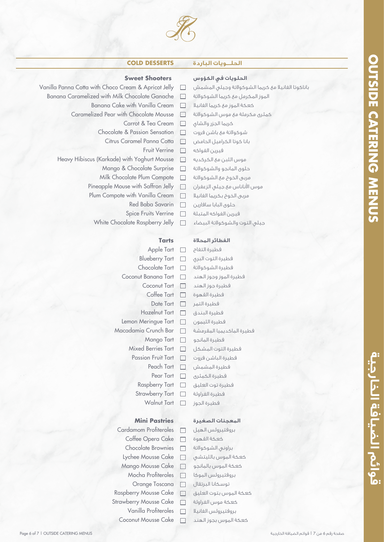

### **الحلـــويات الباردة DESSERTS COLD**

### **Sweet Shooters**

- Vanilla Panna Cotta with Choco Cream & Apricot Jelly  $\Box$ 
	- Banana Caramelized with Milk Chocolate Ganache  $\Box$ 
		- Banana Cake with Vanilla Cream  $\Box$
		- Caramelized Pear with Chocolate Mousse  $\Box$ 
			- Carrot & Tea Cream  $\Box$
			- Chocolate & Passion Sensation  $\Box$ 
				- Citrus Caramel Panna Cotta  $\Box$ 
					- Fruit Verrine  $\Box$
		- Heavy Hibiscus (Karkade) with Yoghurt Mousse  $\Box$ 
			- Mango & Chocolate Surprise  $\Box$
			- Milk Chocolate Plum Compote  $\Box$
			- Pineapple Mouse with Saffron Jelly  $\Box$
			- Plum Compote with Vanilla Cream  $\Box$ 
				- Red Baba Savarin  $\Box$
				- Spice Fruits Verrine  $\Box$
			- White Chocolate Raspberry Jelly  $\Box$

### **Tarts**

| Apple Tart                | $\Box$ |
|---------------------------|--------|
| <b>Blueberry Tart</b>     | $\Box$ |
| Chocolate Tart            | $\Box$ |
| Coconut Banana Tart       | $\Box$ |
| Coconut Tart              | $\Box$ |
| Coffee Tart               | П      |
| <b>Date Tart</b>          | П      |
| Hazelnut Tart             | П      |
| Lemon Meringue Tart       | $\Box$ |
| Macadamia Crunch Bar      | □      |
| Mango Tart                | $\Box$ |
| <b>Mixed Berries Tart</b> | $\Box$ |
| <b>Passion Fruit Tart</b> | □      |
| Peach Tart                | $\Box$ |
| Pear Tart                 | $\Box$ |
| Raspberry Tart            | $\Box$ |
| <b>Strawberry Tart</b>    | □      |
| <b>Walnut Tart</b>        | П      |
|                           |        |

### **Mini Pastries**

Cardamom Profiteroles  $\Box$ Coffee Opera Cake  $\Box$ Chocolate Brownies  $\Box$ Lychee Mousse Cake  $\Box$ Mango Mousse Cake  $\Box$ Mocha Profiteroles  $\Box$ Orange Toscana  $\Box$ Raspberry Mousse Cake  $\Box$ Strawberry Mousse Cake  $\Box$ Vanilla Profiteroles  $\Box$ Coconut Mousse Cake  $\Box$ 

### **الحلويات في الكؤوس**

- باناكوتا الفانيلا مع كريما الشوكولاتة وجيلي المشمش
- الموز المكرمل مع كريما الشوكولاتة
- كعكة الموز مع كريما الفانيلا
- كمثرى مكرملة مع موس الشوكولاتة
- كريما الجزر والشاي
- شوكولاتة مع باشن فروت
- بانا كوتا الكراميل الحامض
- فيرين الفواكه موس اللبن مع الكركديه
- حلوى المانجو والشوكولاتة
- مربى الخوخ مع الشوكولاتة
- موس اناناس مع جيلي الزعفران
- مربى الخوخ بكريما الفانيلا
- حلوى البابا سافارين
- فيرين الفواكه المتبلة
- جيلي التوت والشوكولاتة البيضاء

### **الفطائر المحلاة**

فطيرة التفاح فطيرة التوت البري فطيرة الشوكولاتة فطيرة الموز وجوز الهند فطيرة جوز الهند فطيرة القهوة فطيرة التمر فطيرة البندق فطيرة الليمون فطيرة الماكديميا المقرمشة فطيرة المانجو فطيرة التوت المشكل فطيرة الباشن فروت فطيرة المشمش فطيرة الكمثرى فطيرة توت العليق فطيرة الفراولة فطيرة الجوز

### **المعجنات الصغيرة**

بروفتيرولس الهيل كعكة القهوة براوني الشوكولاتة كعكة الموس بالليتشي كعكة الموس بالمانجو بروفتيرولس الموكا توسكانا البرتقال كعكة الموس بتوت العليق كعكة موس الفراولة بروفتيرولس الفانيلا كعكة الموس بجوز الهند